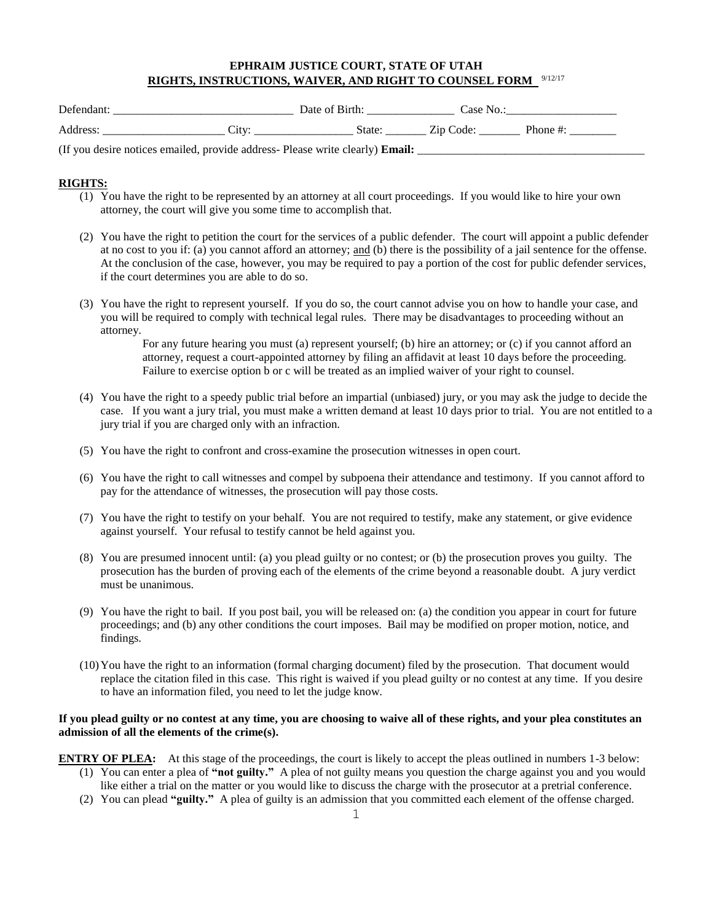# **EPHRAIM JUSTICE COURT, STATE OF UTAH RIGHTS, INSTRUCTIONS, WAIVER, AND RIGHT TO COUNSEL FORM**  9/12/17

| Defendant:                                                                                                    |       | Date of Birth: | Uase No.  |         |
|---------------------------------------------------------------------------------------------------------------|-------|----------------|-----------|---------|
| Address                                                                                                       | `1fV' | State:         | Zip Code: | - Phone |
| $\sqrt{10}$ 1 $\sqrt{10}$ 1 $\sqrt{11}$ 1 $\sqrt{11}$ 1 $\sqrt{11}$ 1 $\sqrt{11}$ 1 $\sqrt{11}$ 1 $\sqrt{11}$ |       |                |           |         |

(If you desire notices emailed, provide address- Please write clearly) **Email:** 

## **RIGHTS:**

- (1) You have the right to be represented by an attorney at all court proceedings. If you would like to hire your own attorney, the court will give you some time to accomplish that.
- (2) You have the right to petition the court for the services of a public defender. The court will appoint a public defender at no cost to you if: (a) you cannot afford an attorney; and (b) there is the possibility of a jail sentence for the offense. At the conclusion of the case, however, you may be required to pay a portion of the cost for public defender services, if the court determines you are able to do so.
- (3) You have the right to represent yourself. If you do so, the court cannot advise you on how to handle your case, and you will be required to comply with technical legal rules. There may be disadvantages to proceeding without an attorney.

For any future hearing you must (a) represent yourself; (b) hire an attorney; or (c) if you cannot afford an attorney, request a court-appointed attorney by filing an affidavit at least 10 days before the proceeding. Failure to exercise option b or c will be treated as an implied waiver of your right to counsel.

- (4) You have the right to a speedy public trial before an impartial (unbiased) jury, or you may ask the judge to decide the case. If you want a jury trial, you must make a written demand at least 10 days prior to trial. You are not entitled to a jury trial if you are charged only with an infraction.
- (5) You have the right to confront and cross-examine the prosecution witnesses in open court.
- (6) You have the right to call witnesses and compel by subpoena their attendance and testimony. If you cannot afford to pay for the attendance of witnesses, the prosecution will pay those costs.
- (7) You have the right to testify on your behalf. You are not required to testify, make any statement, or give evidence against yourself. Your refusal to testify cannot be held against you.
- (8) You are presumed innocent until: (a) you plead guilty or no contest; or (b) the prosecution proves you guilty. The prosecution has the burden of proving each of the elements of the crime beyond a reasonable doubt. A jury verdict must be unanimous.
- (9) You have the right to bail. If you post bail, you will be released on: (a) the condition you appear in court for future proceedings; and (b) any other conditions the court imposes. Bail may be modified on proper motion, notice, and findings.
- (10)You have the right to an information (formal charging document) filed by the prosecution. That document would replace the citation filed in this case. This right is waived if you plead guilty or no contest at any time. If you desire to have an information filed, you need to let the judge know.

### **If you plead guilty or no contest at any time, you are choosing to waive all of these rights, and your plea constitutes an admission of all the elements of the crime(s).**

**ENTRY OF PLEA:** At this stage of the proceedings, the court is likely to accept the pleas outlined in numbers 1-3 below:

- (1) You can enter a plea of **"not guilty."** A plea of not guilty means you question the charge against you and you would like either a trial on the matter or you would like to discuss the charge with the prosecutor at a pretrial conference.
- (2) You can plead **"guilty."** A plea of guilty is an admission that you committed each element of the offense charged.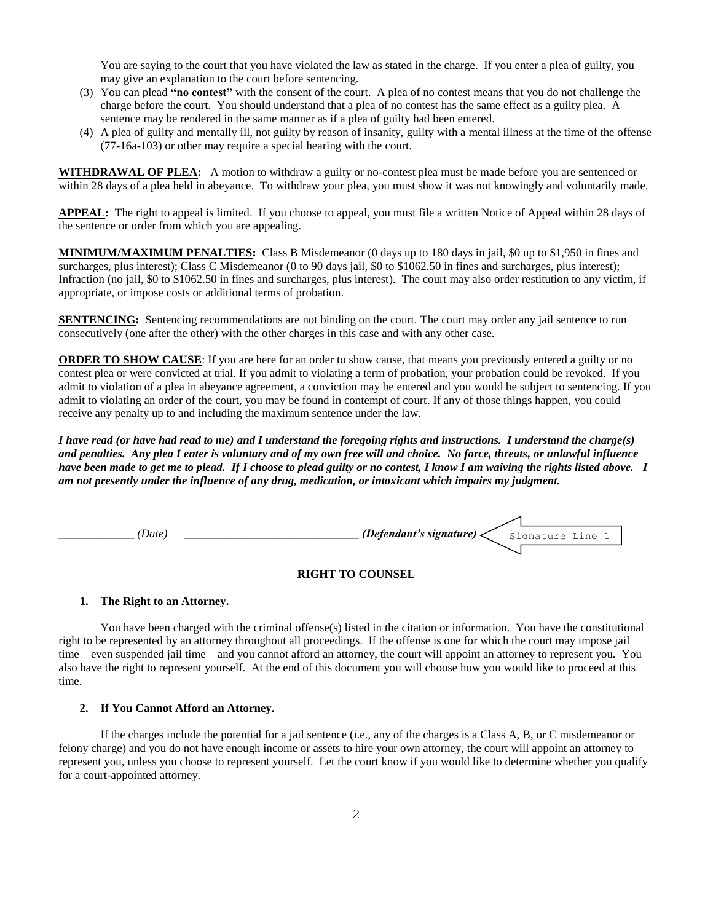You are saying to the court that you have violated the law as stated in the charge. If you enter a plea of guilty, you may give an explanation to the court before sentencing.

- (3) You can plead **"no contest"** with the consent of the court. A plea of no contest means that you do not challenge the charge before the court. You should understand that a plea of no contest has the same effect as a guilty plea. A sentence may be rendered in the same manner as if a plea of guilty had been entered.
- (4) A plea of guilty and mentally ill, not guilty by reason of insanity, guilty with a mental illness at the time of the offense (77-16a-103) or other may require a special hearing with the court.

**WITHDRAWAL OF PLEA:** A motion to withdraw a guilty or no-contest plea must be made before you are sentenced or within 28 days of a plea held in abeyance. To withdraw your plea, you must show it was not knowingly and voluntarily made.

**APPEAL:** The right to appeal is limited. If you choose to appeal, you must file a written Notice of Appeal within 28 days of the sentence or order from which you are appealing.

**MINIMUM/MAXIMUM PENALTIES:** Class B Misdemeanor (0 days up to 180 days in jail, \$0 up to \$1,950 in fines and surcharges, plus interest); Class C Misdemeanor (0 to 90 days jail, \$0 to \$1062.50 in fines and surcharges, plus interest); Infraction (no jail, \$0 to \$1062.50 in fines and surcharges, plus interest). The court may also order restitution to any victim, if appropriate, or impose costs or additional terms of probation.

**SENTENCING:** Sentencing recommendations are not binding on the court. The court may order any jail sentence to run consecutively (one after the other) with the other charges in this case and with any other case.

**ORDER TO SHOW CAUSE:** If you are here for an order to show cause, that means you previously entered a guilty or no contest plea or were convicted at trial. If you admit to violating a term of probation, your probation could be revoked. If you admit to violation of a plea in abeyance agreement, a conviction may be entered and you would be subject to sentencing. If you admit to violating an order of the court, you may be found in contempt of court. If any of those things happen, you could receive any penalty up to and including the maximum sentence under the law.

*I have read (or have had read to me) and I understand the foregoing rights and instructions. I understand the charge(s) and penalties. Any plea I enter is voluntary and of my own free will and choice. No force, threats, or unlawful influence have been made to get me to plead. If I choose to plead guilty or no contest, I know I am waiving the rights listed above. I am not presently under the influence of any drug, medication, or intoxicant which impairs my judgment.*

| 'Date | l <i>otondant's sianaturo\</i><br>$C - 1$<br>≙מוֹ<br>$-1 - 2 - 2$<br>~<br>◡ |
|-------|-----------------------------------------------------------------------------|
|       |                                                                             |

#### **RIGHT TO COUNSEL**

#### **1. The Right to an Attorney.**

You have been charged with the criminal offense(s) listed in the citation or information. You have the constitutional right to be represented by an attorney throughout all proceedings. If the offense is one for which the court may impose jail time – even suspended jail time – and you cannot afford an attorney, the court will appoint an attorney to represent you. You also have the right to represent yourself. At the end of this document you will choose how you would like to proceed at this time.

### **2. If You Cannot Afford an Attorney.**

If the charges include the potential for a jail sentence (i.e., any of the charges is a Class A, B, or C misdemeanor or felony charge) and you do not have enough income or assets to hire your own attorney, the court will appoint an attorney to represent you, unless you choose to represent yourself. Let the court know if you would like to determine whether you qualify for a court-appointed attorney.